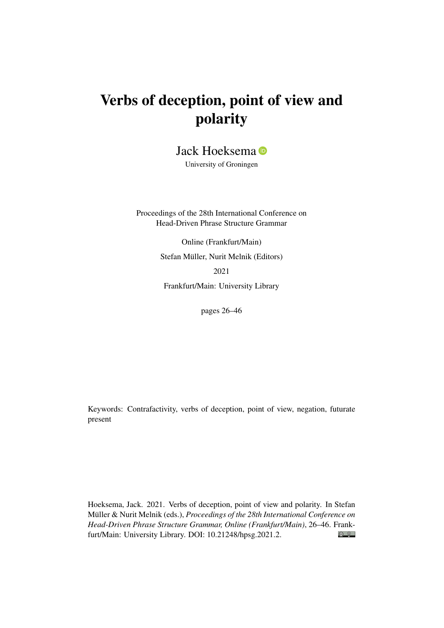# Verbs of deception, point of view and polarity

Jack Hoeksema **D** 

University of Groningen

Proceedings of the 28th International Conference on Head-Driven Phrase Structure Grammar

> Online (Frankfurt/Main) Stefan Müller, Nurit Melnik (Editors) 2021

Frankfurt/Main: University Library

pages 26–46

Keywords: Contrafactivity, verbs of deception, point of view, negation, futurate present

Hoeksema, Jack. 2021. Verbs of deception, point of view and polarity. In Stefan Müller & Nurit Melnik (eds.), *Proceedings of the 28th International Conference on Head-Driven Phrase Structure Grammar, Online (Frankfurt/Main)*, 26–46. Frank- $\bigcirc$   $\bigcirc$ furt/Main: University Library. DOI: [10.21248/hpsg.2021.2.](http://doi.org/10.21248/hpsg.2021.2)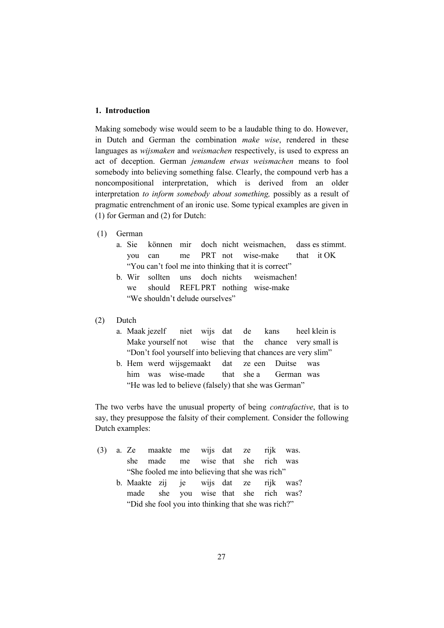#### **1. Introduction**

Making somebody wise would seem to be a laudable thing to do. However, in Dutch and German the combination *make wise*, rendered in these languages as *wijsmaken* and *weismachen* respectively, is used to express an act of deception. German *jemandem etwas weismachen* means to fool somebody into believing something false. Clearly, the compound verb has a noncompositional interpretation, which is derived from an older interpretation *to inform somebody about something,* possibly as a result of pragmatic entrenchment of an ironic use. Some typical examples are given in (1) for German and (2) for Dutch:

- (1) German
	- a. Sie können mir doch nicht weismachen, dass es stimmt. you can me PRT not wise-make that it OK "You can't fool me into thinking that it is correct"
	- b. Wir sollten uns doch nichts weismachen! we should REFLPRT nothing wise-make "We shouldn't delude ourselves"
- (2) Dutch
	- a. Maak jezelf niet wijs dat de kans heel klein is Make yourself not wise that the chance very small is "Don't fool yourself into believing that chances are very slim"
	- b. Hem werd wijsgemaakt dat ze een Duitse was him was wise-made that she a German was "He was led to believe (falsely) that she was German"

The two verbs have the unusual property of being *contrafactive*, that is to say, they presuppose the falsity of their complement. Consider the following Dutch examples:

- (3) a. Ze maakte me wijs dat ze rijk was. she made me wise that she rich was "She fooled me into believing that she was rich"
	- b. Maakte zij je wijs dat ze rijk was? made she you wise that she rich was? "Did she fool you into thinking that she was rich?"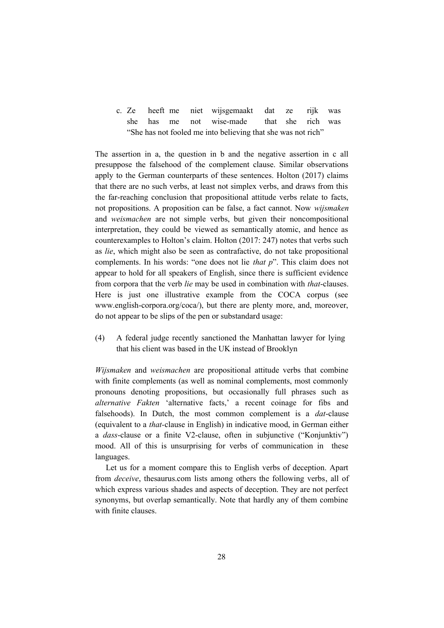c. Ze heeft me niet wijsgemaakt dat ze rijk was she has me not wise-made that she rich was "She has not fooled me into believing that she was not rich"

The assertion in a, the question in b and the negative assertion in c all presuppose the falsehood of the complement clause. Similar observations apply to the German counterparts of these sentences. Holton (2017) claims that there are no such verbs, at least not simplex verbs, and draws from this the far-reaching conclusion that propositional attitude verbs relate to facts, not propositions. A proposition can be false, a fact cannot. Now *wijsmaken* and *weismachen* are not simple verbs, but given their noncompositional interpretation, they could be viewed as semantically atomic, and hence as counterexamples to Holton's claim. Holton (2017: 247) notes that verbs such as *lie*, which might also be seen as contrafactive, do not take propositional complements. In his words: "one does not lie *that p*". This claim does not appear to hold for all speakers of English, since there is sufficient evidence from corpora that the verb *lie* may be used in combination with *that*-clauses. Here is just one illustrative example from the COCA corpus (see www.english-corpora.org/coca/), but there are plenty more, and, moreover, do not appear to be slips of the pen or substandard usage:

(4) A federal judge recently sanctioned the Manhattan lawyer for lying that his client was based in the UK instead of Brooklyn

*Wijsmaken* and *weismachen* are propositional attitude verbs that combine with finite complements (as well as nominal complements, most commonly pronouns denoting propositions, but occasionally full phrases such as *alternative Fakten* 'alternative facts,' a recent coinage for fibs and falsehoods). In Dutch, the most common complement is a *dat*-clause (equivalent to a *that-*clause in English) in indicative mood, in German either a *dass*-clause or a finite V2-clause, often in subjunctive ("Konjunktiv") mood. All of this is unsurprising for verbs of communication in these languages.

Let us for a moment compare this to English verbs of deception. Apart from *deceive*, thesaurus.com lists among others the following verbs, all of which express various shades and aspects of deception. They are not perfect synonyms, but overlap semantically. Note that hardly any of them combine with finite clauses.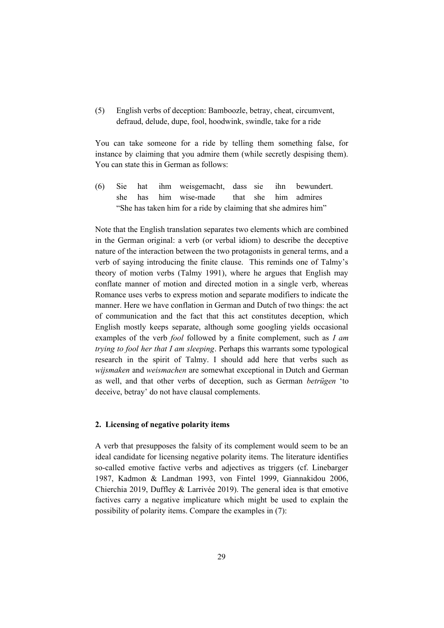(5) English verbs of deception: Bamboozle, betray, cheat, circumvent, defraud, delude, dupe, fool, hoodwink, swindle, take for a ride

You can take someone for a ride by telling them something false, for instance by claiming that you admire them (while secretly despising them). You can state this in German as follows:

(6) Sie hat ihm weisgemacht, dass sie ihn bewundert. she has him wise-made that she him admires "She has taken him for a ride by claiming that she admires him"

Note that the English translation separates two elements which are combined in the German original: a verb (or verbal idiom) to describe the deceptive nature of the interaction between the two protagonists in general terms, and a verb of saying introducing the finite clause. This reminds one of Talmy's theory of motion verbs (Talmy 1991), where he argues that English may conflate manner of motion and directed motion in a single verb, whereas Romance uses verbs to express motion and separate modifiers to indicate the manner. Here we have conflation in German and Dutch of two things: the act of communication and the fact that this act constitutes deception, which English mostly keeps separate, although some googling yields occasional examples of the verb *fool* followed by a finite complement, such as *I am trying to fool her that I am sleeping*. Perhaps this warrants some typological research in the spirit of Talmy. I should add here that verbs such as *wijsmaken* and *weismachen* are somewhat exceptional in Dutch and German as well, and that other verbs of deception, such as German *betrügen* 'to deceive, betray' do not have clausal complements.

#### **2. Licensing of negative polarity items**

A verb that presupposes the falsity of its complement would seem to be an ideal candidate for licensing negative polarity items. The literature identifies so-called emotive factive verbs and adjectives as triggers (cf. Linebarger 1987, Kadmon & Landman 1993, von Fintel 1999, Giannakidou 2006, Chierchia 2019, Duffley & Larrivée 2019). The general idea is that emotive factives carry a negative implicature which might be used to explain the possibility of polarity items. Compare the examples in (7):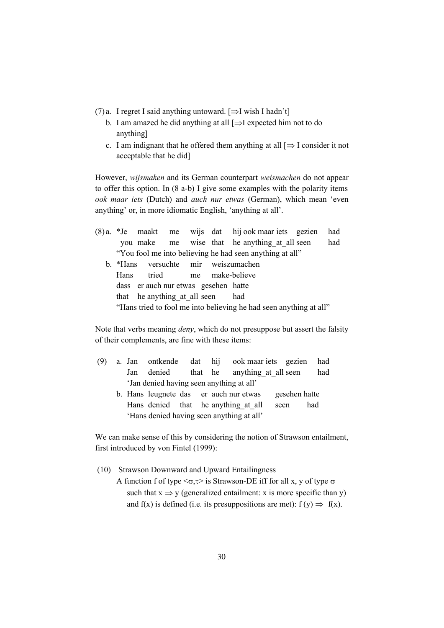- (7) a. I regret I said anything untoward.  $[\Rightarrow]$  wish I hadn't]
	- b. I am amazed he did anything at all  $[\Rightarrow]$  expected him not to do anything]
	- c. I am indignant that he offered them anything at all  $[\Rightarrow]$  I consider it not acceptable that he did]

However, *wijsmaken* and its German counterpart *weismachen* do not appear to offer this option. In (8 a-b) I give some examples with the polarity items *ook maar iets* (Dutch) and *auch nur etwas* (German), which mean 'even anything' or, in more idiomatic English, 'anything at all'.

(8) a. \*Je maakt me wijs dat hij ook maar iets gezien had you make me wise that he anything\_at\_all seen had "You fool me into believing he had seen anything at all" b. \*Hans versuchte mir weiszumachen Hans tried me make-believe dass er auch nur etwas gesehen hatte that he anything at all seen had "Hans tried to fool me into believing he had seen anything at all"

Note that verbs meaning *deny*, which do not presuppose but assert the falsity of their complements, are fine with these items:

- (9) a. Jan ontkende dat hij ook maar iets gezien had Jan denied that he anything at all seen had 'Jan denied having seen anything at all'
	- b. Hans leugnete das er auch nur etwas gesehen hatte Hans denied that he anything at all seen had 'Hans denied having seen anything at all'

We can make sense of this by considering the notion of Strawson entailment, first introduced by von Fintel (1999):

- (10) Strawson Downward and Upward Entailingness
	- A function f of type  $\langle \sigma, \tau \rangle$  is Strawson-DE iff for all x, y of type  $\sigma$ such that  $x \Rightarrow y$  (generalized entailment: x is more specific than y) and f(x) is defined (i.e. its presuppositions are met):  $f(v) \Rightarrow f(x)$ .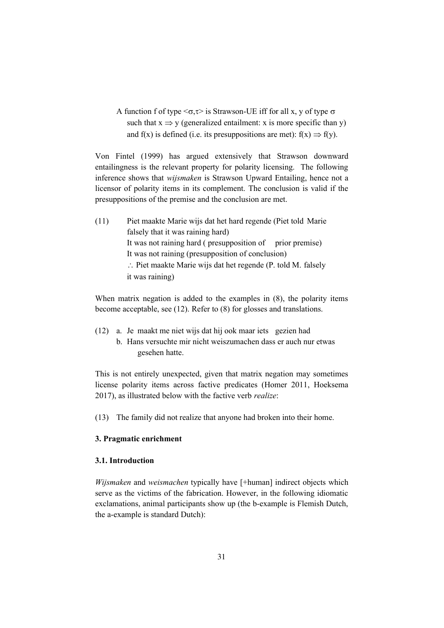A function f of type  $\langle \sigma, \tau \rangle$  is Strawson-UE iff for all x, y of type  $\sigma$ such that  $x \Rightarrow y$  (generalized entailment: x is more specific than y) and f(x) is defined (i.e. its presuppositions are met):  $f(x) \Rightarrow f(y)$ .

Von Fintel (1999) has argued extensively that Strawson downward entailingness is the relevant property for polarity licensing. The following inference shows that *wijsmaken* is Strawson Upward Entailing, hence not a licensor of polarity items in its complement. The conclusion is valid if the presuppositions of the premise and the conclusion are met.

(11) Piet maakte Marie wijs dat het hard regende (Piet told Marie falsely that it was raining hard) It was not raining hard ( presupposition of prior premise) It was not raining (presupposition of conclusion) : Piet maakte Marie wijs dat het regende (P. told M. falsely it was raining)

When matrix negation is added to the examples in (8), the polarity items become acceptable, see (12). Refer to (8) for glosses and translations.

- (12) a. Je maakt me niet wijs dat hij ook maar iets gezien had
	- b. Hans versuchte mir nicht weiszumachen dass er auch nur etwas gesehen hatte.

This is not entirely unexpected, given that matrix negation may sometimes license polarity items across factive predicates (Homer 2011, Hoeksema 2017), as illustrated below with the factive verb *realize*:

(13) The family did not realize that anyone had broken into their home.

### **3. Pragmatic enrichment**

#### **3.1. Introduction**

*Wijsmaken* and *weismachen* typically have [+human] indirect objects which serve as the victims of the fabrication. However, in the following idiomatic exclamations, animal participants show up (the b-example is Flemish Dutch, the a-example is standard Dutch):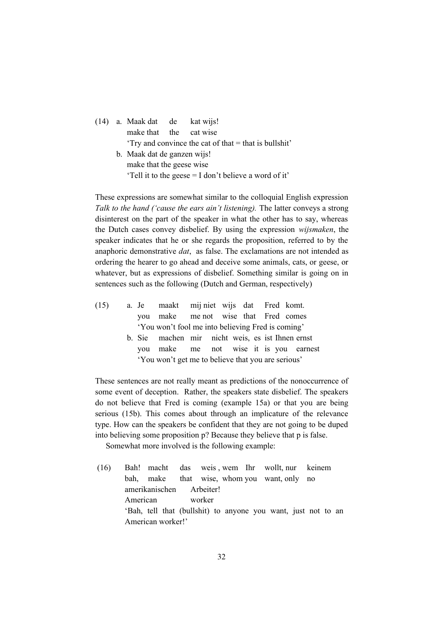|  |                                                       | (14) a. Maak dat de kat wijs! |  |                                                       |  |  |  |
|--|-------------------------------------------------------|-------------------------------|--|-------------------------------------------------------|--|--|--|
|  |                                                       | make that the cat wise        |  |                                                       |  |  |  |
|  |                                                       |                               |  | 'Try and convince the cat of that = that is bullshit' |  |  |  |
|  |                                                       | b. Maak dat de ganzen wijs!   |  |                                                       |  |  |  |
|  |                                                       | make that the geese wise      |  |                                                       |  |  |  |
|  | 'Tell it to the geese = I don't believe a word of it' |                               |  |                                                       |  |  |  |

These expressions are somewhat similar to the colloquial English expression *Talk to the hand ('cause the ears ain't listening).* The latter conveys a strong disinterest on the part of the speaker in what the other has to say, whereas the Dutch cases convey disbelief. By using the expression *wijsmaken*, the speaker indicates that he or she regards the proposition, referred to by the anaphoric demonstrative *dat*, as false. The exclamations are not intended as ordering the hearer to go ahead and deceive some animals, cats, or geese, or whatever, but as expressions of disbelief. Something similar is going on in sentences such as the following (Dutch and German, respectively)

| (15) |  | a. Je maakt mij niet wijs dat Fred komt.           |  |  |  |                                        |
|------|--|----------------------------------------------------|--|--|--|----------------------------------------|
|      |  | you make me not wise that Fred comes               |  |  |  |                                        |
|      |  | 'You won't fool me into believing Fred is coming'  |  |  |  |                                        |
|      |  | b. Sie machen mir nicht weis, es ist Ihnen ernst   |  |  |  |                                        |
|      |  |                                                    |  |  |  | you make me not wise it is you earnest |
|      |  | 'You won't get me to believe that you are serious' |  |  |  |                                        |

These sentences are not really meant as predictions of the nonoccurrence of some event of deception. Rather, the speakers state disbelief. The speakers do not believe that Fred is coming (example 15a) or that you are being serious (15b). This comes about through an implicature of the relevance type. How can the speakers be confident that they are not going to be duped into believing some proposition p? Because they believe that p is false.

Somewhat more involved is the following example:

 (16) Bah! macht das weis , wem Ihr wollt, nur keinem bah, make that wise, whom you want, only no amerikanischen Arbeiter! American worker 'Bah, tell that (bullshit) to anyone you want, just not to an American worker!'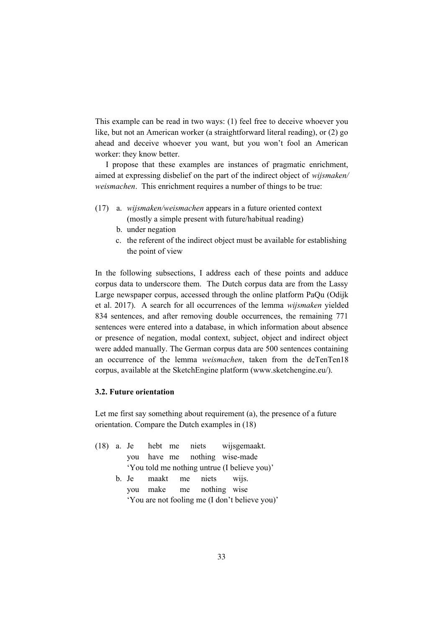This example can be read in two ways: (1) feel free to deceive whoever you like, but not an American worker (a straightforward literal reading), or (2) go ahead and deceive whoever you want, but you won't fool an American worker: they know better.

I propose that these examples are instances of pragmatic enrichment, aimed at expressing disbelief on the part of the indirect object of *wijsmaken/ weismachen*. This enrichment requires a number of things to be true:

- (17) a. *wijsmaken/weismachen* appears in a future oriented context (mostly a simple present with future/habitual reading)
	- b. under negation
	- c. the referent of the indirect object must be available for establishing the point of view

In the following subsections, I address each of these points and adduce corpus data to underscore them. The Dutch corpus data are from the Lassy Large newspaper corpus, accessed through the online platform PaQu (Odijk et al. 2017). A search for all occurrences of the lemma *wijsmaken* yielded 834 sentences, and after removing double occurrences, the remaining 771 sentences were entered into a database, in which information about absence or presence of negation, modal context, subject, object and indirect object were added manually. The German corpus data are 500 sentences containing an occurrence of the lemma *weismachen*, taken from the deTenTen18 corpus, available at the SketchEngine platform (www.sketchengine.eu/).

#### **3.2. Future orientation**

Let me first say something about requirement (a), the presence of a future orientation. Compare the Dutch examples in (18)

| you have me nothing wise-made<br>'You told me nothing untrue (I believe you)' |  |
|-------------------------------------------------------------------------------|--|
|                                                                               |  |
|                                                                               |  |
| b. Je maakt me niets wijs.                                                    |  |
| you make me nothing wise                                                      |  |
| 'You are not fooling me (I don't believe you)'                                |  |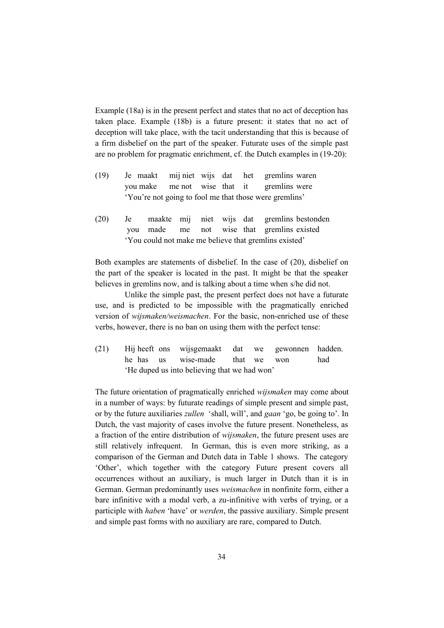Example (18a) is in the present perfect and states that no act of deception has taken place. Example (18b) is a future present: it states that no act of deception will take place, with the tacit understanding that this is because of a firm disbelief on the part of the speaker. Futurate uses of the simple past are no problem for pragmatic enrichment, cf. the Dutch examples in (19-20):

- (19) Je maakt mij niet wijs dat het gremlins waren you make me not wise that it gremlins were 'You're not going to fool me that those were gremlins'
- (20) Je maakte mij niet wijs dat gremlins bestonden you made me not wise that gremlins existed 'You could not make me believe that gremlins existed'

Both examples are statements of disbelief. In the case of (20), disbelief on the part of the speaker is located in the past. It might be that the speaker believes in gremlins now, and is talking about a time when s/he did not.

Unlike the simple past, the present perfect does not have a futurate use, and is predicted to be impossible with the pragmatically enriched version of *wijsmaken/weismachen*. For the basic, non-enriched use of these verbs, however, there is no ban on using them with the perfect tense:

(21) Hij heeft ons wijsgemaakt dat we gewonnen hadden. he has us wise-made that we won had 'He duped us into believing that we had won'

The future orientation of pragmatically enriched *wijsmaken* may come about in a number of ways: by futurate readings of simple present and simple past, or by the future auxiliaries *zullen* 'shall, will', and *gaan* 'go, be going to'. In Dutch, the vast majority of cases involve the future present. Nonetheless, as a fraction of the entire distribution of *wijsmaken*, the future present uses are still relatively infrequent. In German, this is even more striking, as a comparison of the German and Dutch data in Table 1 shows. The category 'Other', which together with the category Future present covers all occurrences without an auxiliary, is much larger in Dutch than it is in German. German predominantly uses *weismachen* in nonfinite form, either a bare infinitive with a modal verb, a zu-infinitive with verbs of trying, or a participle with *haben* 'have' or *werden*, the passive auxiliary. Simple present and simple past forms with no auxiliary are rare, compared to Dutch.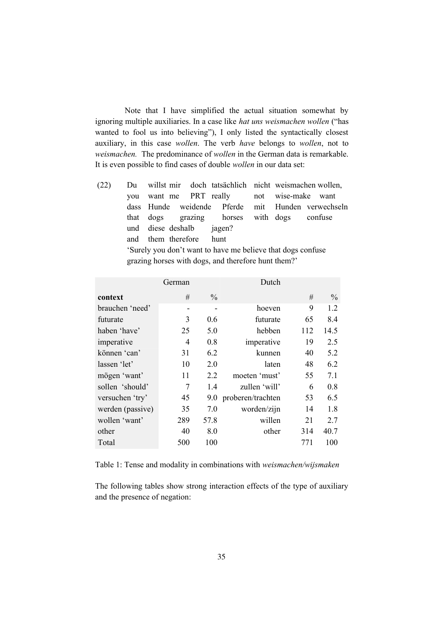Note that I have simplified the actual situation somewhat by ignoring multiple auxiliaries. In a case like *hat uns weismachen wollen* ("has wanted to fool us into believing"), I only listed the syntactically closest auxiliary, in this case *wollen*. The verb *have* belongs to *wollen*, not to *weismachen.* The predominance of *wollen* in the German data is remarkable. It is even possible to find cases of double *wollen* in our data set:

| (22) |                                                     |                          |  |                                                            |  |  | Du willst mir doch tatsächlich nicht weismachen wollen, |  |
|------|-----------------------------------------------------|--------------------------|--|------------------------------------------------------------|--|--|---------------------------------------------------------|--|
|      |                                                     |                          |  | you want me PRT really                                     |  |  | not wise-make want                                      |  |
|      |                                                     |                          |  |                                                            |  |  | dass Hunde weidende Pferde mit Hunden verwechseln       |  |
|      |                                                     |                          |  | that dogs grazing horses with dogs confuse                 |  |  |                                                         |  |
|      |                                                     | und diese deshalb jagen? |  |                                                            |  |  |                                                         |  |
|      |                                                     | and them therefore hunt  |  |                                                            |  |  |                                                         |  |
|      |                                                     |                          |  | Surely you don't want to have me believe that dogs confuse |  |  |                                                         |  |
|      | grazing horses with dogs, and therefore hunt them?' |                          |  |                                                            |  |  |                                                         |  |
|      |                                                     |                          |  |                                                            |  |  |                                                         |  |

|                  | German) |               | Dutch             |     |               |
|------------------|---------|---------------|-------------------|-----|---------------|
| context          | #       | $\frac{0}{0}$ |                   | #   | $\frac{0}{0}$ |
| brauchen 'need'  | -       |               | hoeven            | 9   | 1.2           |
| futurate         | 3       | 0.6           | futurate          | 65  | 8.4           |
| haben 'have'     | 25      | 5.0           | hebben            | 112 | 14.5          |
| imperative       | 4       | 0.8           | imperative        | 19  | 2.5           |
| können 'can'     | 31      | 6.2           | kunnen            | 40  | 5.2           |
| lassen 'let'     | 10      | 2.0           | laten             | 48  | 6.2           |
| mögen 'want'     | 11      | 2.2           | moeten 'must'     | 55  | 7.1           |
| sollen 'should'  | 7       | 1.4           | zullen 'will'     | 6   | 0.8           |
| versuchen 'try'  | 45      | 9.0           | proberen/trachten | 53  | 6.5           |
| werden (passive) | 35      | 7.0           | worden/zijn       | 14  | 1.8           |
| wollen 'want'    | 289     | 57.8          | willen            | 21  | 2.7           |
| other            | 40      | 8.0           | other             | 314 | 40.7          |
| Total            | 500     | 100           |                   | 771 | 100           |

Table 1: Tense and modality in combinations with *weismachen/wijsmaken*

The following tables show strong interaction effects of the type of auxiliary and the presence of negation: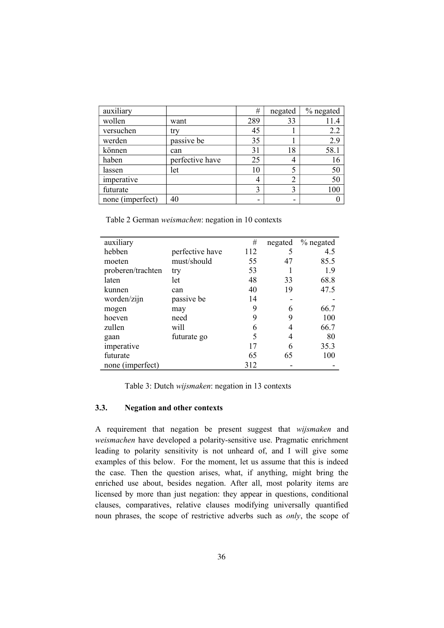| auxiliary        |                 | #   | negated        | % negated |
|------------------|-----------------|-----|----------------|-----------|
| wollen           | want            | 289 | 33             |           |
| versuchen        | try             | 45  |                | 2.2       |
| werden           | passive be      | 35  |                | 2.9       |
| können           | can             | 31  | 18             | 58.1      |
| haben            | perfective have | 25  | 4              | 16        |
| lassen           | let             | 10  | 5              | 50        |
| imperative       |                 | 4   | $\overline{2}$ | 50        |
| futurate         |                 | 3   | 3              | 100       |
| none (imperfect) | 40              |     | -              |           |

Table 2 German *weismachen*: negation in 10 contexts

| auxiliary         |                 | #   | negated | % negated |
|-------------------|-----------------|-----|---------|-----------|
| hebben            | perfective have | 112 |         | 4.5       |
| moeten            | must/should     | 55  | 47      | 85.5      |
| proberen/trachten | try             | 53  |         | 1.9       |
| laten             | let             | 48  | 33      | 68.8      |
| kunnen            | can             | 40  | 19      | 47.5      |
| worden/zijn       | passive be      | 14  |         |           |
| mogen             | may             | 9   | 6       | 66.7      |
| hoeven            | need            | 9   | 9       | 100       |
| zullen            | will            | 6   | 4       | 66.7      |
| gaan              | futurate go     | 5   | 4       | 80        |
| imperative        |                 | 17  | 6       | 35.3      |
| futurate          |                 | 65  | 65      | 100       |
| none (imperfect)  |                 | 312 |         |           |

Table 3: Dutch *wijsmaken*: negation in 13 contexts

# **3.3. Negation and other contexts**

A requirement that negation be present suggest that *wijsmaken* and *weismachen* have developed a polarity-sensitive use. Pragmatic enrichment leading to polarity sensitivity is not unheard of, and I will give some examples of this below. For the moment, let us assume that this is indeed the case. Then the question arises, what, if anything, might bring the enriched use about, besides negation. After all, most polarity items are licensed by more than just negation: they appear in questions, conditional clauses, comparatives, relative clauses modifying universally quantified noun phrases, the scope of restrictive adverbs such as *only*, the scope of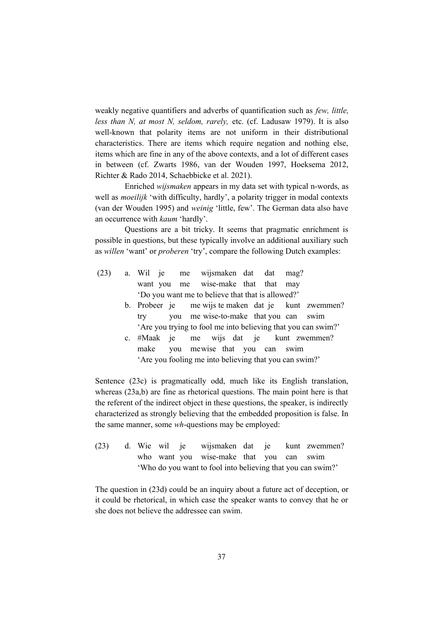weakly negative quantifiers and adverbs of quantification such as *few, little, less than N, at most N, seldom, rarely,* etc. (cf. Ladusaw 1979). It is also well-known that polarity items are not uniform in their distributional characteristics. There are items which require negation and nothing else, items which are fine in any of the above contexts, and a lot of different cases in between (cf. Zwarts 1986, van der Wouden 1997, Hoeksema 2012, Richter & Rado 2014, Schaebbicke et al. 2021).

Enriched *wijsmaken* appears in my data set with typical n-words, as well as *moeilijk* 'with difficulty, hardly', a polarity trigger in modal contexts (van der Wouden 1995) and *weinig* 'little, few'. The German data also have an occurrence with *kaum* 'hardly'.

Questions are a bit tricky. It seems that pragmatic enrichment is possible in questions, but these typically involve an additional auxiliary such as *willen* 'want' or *proberen* 'try', compare the following Dutch examples:

- (23) a. Wil je me wijsmaken dat dat mag? want you me wise-make that that may 'Do you want me to believe that that is allowed?'
	- b. Probeer je me wijs te maken dat je kunt zwemmen? try you me wise-to-make that you can swim 'Are you trying to fool me into believing that you can swim?'
	- c. #Maak je me wijs dat je kunt zwemmen? make you mewise that you can swim 'Are you fooling me into believing that you can swim?'

Sentence (23c) is pragmatically odd, much like its English translation, whereas (23a,b) are fine as rhetorical questions. The main point here is that the referent of the indirect object in these questions, the speaker, is indirectly characterized as strongly believing that the embedded proposition is false. In the same manner, some *wh*-questions may be employed:

(23) d. Wie wil je wijsmaken dat je kunt zwemmen? who want you wise-make that you can swim 'Who do you want to fool into believing that you can swim?'

The question in (23d) could be an inquiry about a future act of deception, or it could be rhetorical, in which case the speaker wants to convey that he or she does not believe the addressee can swim.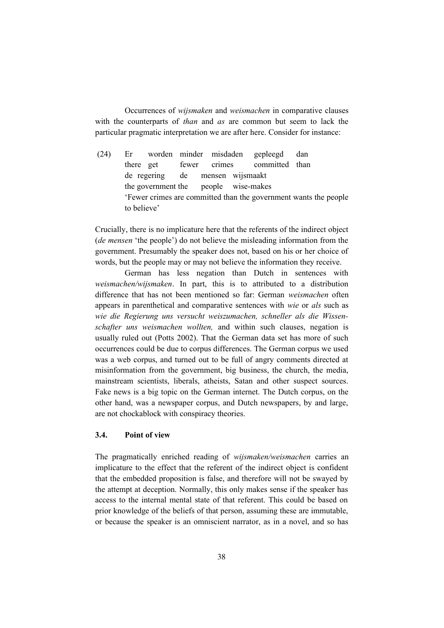Occurrences of *wijsmaken* and *weismachen* in comparative clauses with the counterparts of *than* and *as* are common but seem to lack the particular pragmatic interpretation we are after here. Consider for instance:

 (24) Er worden minder misdaden gepleegd dan there get fewer crimes committed than de regering de mensen wijsmaakt the government the people wise-makes 'Fewer crimes are committed than the government wants the people to believe'

Crucially, there is no implicature here that the referents of the indirect object (*de mensen* 'the people') do not believe the misleading information from the government. Presumably the speaker does not, based on his or her choice of words, but the people may or may not believe the information they receive.

German has less negation than Dutch in sentences with *weismachen/wijsmaken*. In part, this is to attributed to a distribution difference that has not been mentioned so far: German *weismachen* often appears in parenthetical and comparative sentences with *wie* or *als* such as *wie die Regierung uns versucht weiszumachen, schneller als die Wissenschafter uns weismachen wollten,* and within such clauses, negation is usually ruled out (Potts 2002). That the German data set has more of such occurrences could be due to corpus differences. The German corpus we used was a web corpus, and turned out to be full of angry comments directed at misinformation from the government, big business, the church, the media, mainstream scientists, liberals, atheists, Satan and other suspect sources. Fake news is a big topic on the German internet. The Dutch corpus, on the other hand, was a newspaper corpus, and Dutch newspapers, by and large, are not chockablock with conspiracy theories.

#### **3.4. Point of view**

The pragmatically enriched reading of *wijsmaken/weismachen* carries an implicature to the effect that the referent of the indirect object is confident that the embedded proposition is false, and therefore will not be swayed by the attempt at deception. Normally, this only makes sense if the speaker has access to the internal mental state of that referent. This could be based on prior knowledge of the beliefs of that person, assuming these are immutable, or because the speaker is an omniscient narrator, as in a novel, and so has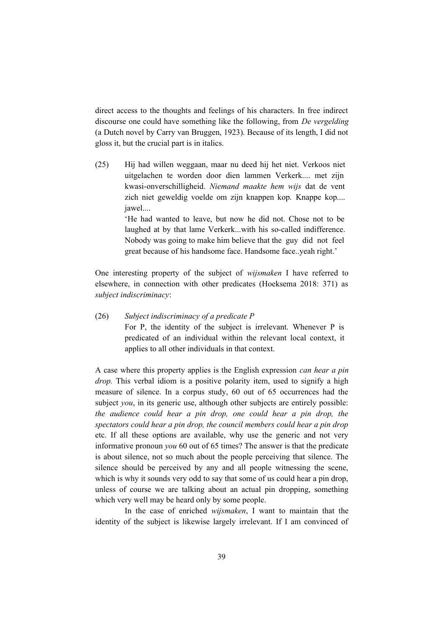direct access to the thoughts and feelings of his characters. In free indirect discourse one could have something like the following, from *De vergelding* (a Dutch novel by Carry van Bruggen, 1923). Because of its length, I did not gloss it, but the crucial part is in italics.

(25) Hij had willen weggaan, maar nu deed hij het niet. Verkoos niet uitgelachen te worden door dien lammen Verkerk.... met zijn kwasi-onverschilligheid. *Niemand maakte hem wijs* dat de vent zich niet geweldig voelde om zijn knappen kop. Knappe kop.... jawel....

> 'He had wanted to leave, but now he did not. Chose not to be laughed at by that lame Verkerk...with his so-called indifference. Nobody was going to make him believe that the guy did not feel great because of his handsome face. Handsome face..yeah right.'

One interesting property of the subject of *wijsmaken* I have referred to elsewhere, in connection with other predicates (Hoeksema 2018: 371) as *subject indiscriminacy*:

#### (26) *Subject indiscriminacy of a predicate P*

For P, the identity of the subject is irrelevant. Whenever P is predicated of an individual within the relevant local context, it applies to all other individuals in that context.

A case where this property applies is the English expression *can hear a pin drop.* This verbal idiom is a positive polarity item, used to signify a high measure of silence. In a corpus study, 60 out of 65 occurrences had the subject *you*, in its generic use, although other subjects are entirely possible: *the audience could hear a pin drop, one could hear a pin drop, the spectators could hear a pin drop, the council members could hear a pin drop* etc. If all these options are available, why use the generic and not very informative pronoun *you* 60 out of 65 times? The answer is that the predicate is about silence, not so much about the people perceiving that silence. The silence should be perceived by any and all people witnessing the scene, which is why it sounds very odd to say that some of us could hear a pin drop, unless of course we are talking about an actual pin dropping, something which very well may be heard only by some people.

In the case of enriched *wijsmaken*, I want to maintain that the identity of the subject is likewise largely irrelevant. If I am convinced of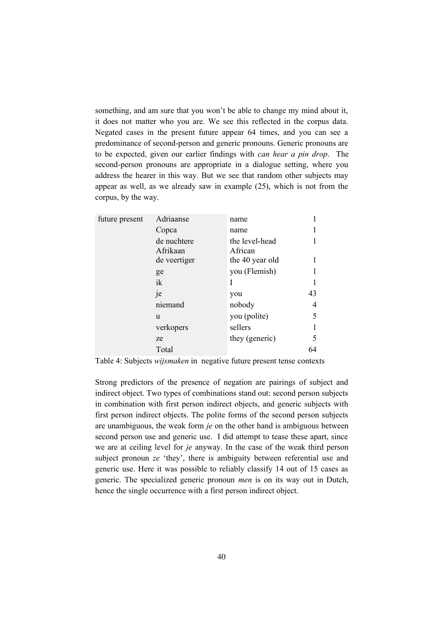something, and am sure that you won't be able to change my mind about it, it does not matter who you are. We see this reflected in the corpus data. Negated cases in the present future appear 64 times, and you can see a predominance of second-person and generic pronouns. Generic pronouns are to be expected, given our earlier findings with *can hear a pin drop*. The second-person pronouns are appropriate in a dialogue setting, where you address the hearer in this way. But we see that random other subjects may appear as well, as we already saw in example (25), which is not from the corpus, by the way.

| future present | Adriaanse    | name            |    |
|----------------|--------------|-----------------|----|
|                |              |                 |    |
|                | Copca        | name            |    |
|                | de nuchtere  | the level-head  |    |
|                | Afrikaan     | African         |    |
|                | de veertiger | the 40 year old |    |
|                | ge           | you (Flemish)   |    |
|                | ik           | I               |    |
|                | je           | you             | 43 |
|                | niemand      | nobody          | 4  |
|                | u            | you (polite)    | 5  |
|                | verkopers    | sellers         |    |
|                | ze           | they (generic)  | 5  |
|                | Total        |                 |    |

Table 4: Subjects *wijsmaken* in negative future present tense contexts

Strong predictors of the presence of negation are pairings of subject and indirect object. Two types of combinations stand out: second person subjects in combination with first person indirect objects, and generic subjects with first person indirect objects. The polite forms of the second person subjects are unambiguous, the weak form *je* on the other hand is ambiguous between second person use and generic use. I did attempt to tease these apart, since we are at ceiling level for *je* anyway. In the case of the weak third person subject pronoun *ze* 'they', there is ambiguity between referential use and generic use. Here it was possible to reliably classify 14 out of 15 cases as generic. The specialized generic pronoun *men* is on its way out in Dutch, hence the single occurrence with a first person indirect object.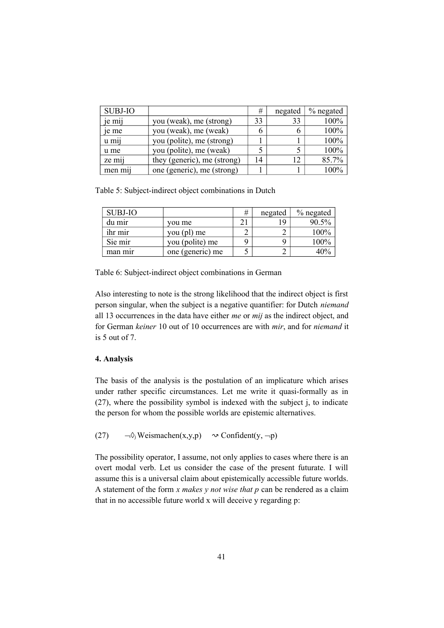| <b>SUBJ-IO</b>     |                             | #  | negated | $%$ negated |
|--------------------|-----------------------------|----|---------|-------------|
| je mij             | you (weak), me (strong)     | 33 | 33      | 100%        |
| je me              | you (weak), me (weak)       | O  |         | 100%        |
| u mij              | you (polite), me (strong)   |    |         | 100%        |
| u me               | you (polite), me (weak)     |    |         | 100%        |
| ze mij             | they (generic), me (strong) | 14 | 12      | 85.7%       |
| men m <sub>1</sub> | one (generic), me (strong)  |    |         | 100%        |

Table 5: Subject-indirect object combinations in Dutch

| <b>SUBJ-IO</b> |                  | # | negated | $\%$ negated |
|----------------|------------------|---|---------|--------------|
| du mir         | vou me           |   | 19      | 90.5%        |
| ihr mir        | you (pl) me      |   |         | 100%         |
| Sie mir        | you (polite) me  | q |         | 100%         |
| man mir        | one (generic) me |   |         | 40%          |

Table 6: Subject-indirect object combinations in German

Also interesting to note is the strong likelihood that the indirect object is first person singular, when the subject is a negative quantifier: for Dutch *niemand* all 13 occurrences in the data have either *me* or *mij* as the indirect object, and for German *keiner* 10 out of 10 occurrences are with *mir*, and for *niemand* it is 5 out of 7.

## **4. Analysis**

The basis of the analysis is the postulation of an implicature which arises under rather specific circumstances. Let me write it quasi-formally as in (27), where the possibility symbol is indexed with the subject j, to indicate the person for whom the possible worlds are epistemic alternatives.

(27)  $\neg \Diamond_i$  Weismachen(x,y,p)  $\sim$  Confident(y,  $\neg p$ )

The possibility operator, I assume, not only applies to cases where there is an overt modal verb. Let us consider the case of the present futurate. I will assume this is a universal claim about epistemically accessible future worlds. A statement of the form *x makes y not wise that p* can be rendered as a claim that in no accessible future world x will deceive y regarding p: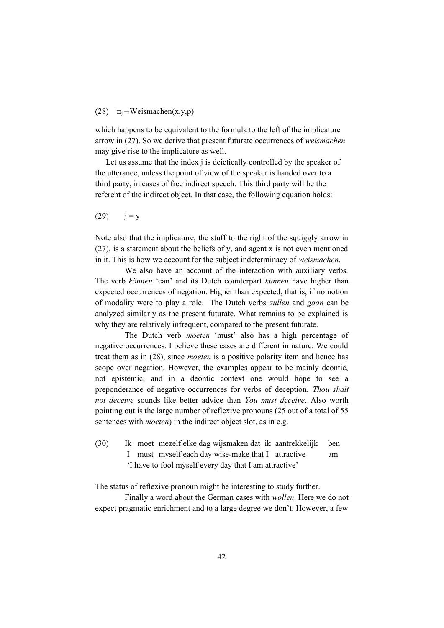#### (28)  $\Box$ j – Weismachen(x,y,p)

which happens to be equivalent to the formula to the left of the implicature arrow in (27). So we derive that present futurate occurrences of *weismachen* may give rise to the implicature as well.

Let us assume that the index j is deictically controlled by the speaker of the utterance, unless the point of view of the speaker is handed over to a third party, in cases of free indirect speech. This third party will be the referent of the indirect object. In that case, the following equation holds:

 $(29)$   $i = y$ 

Note also that the implicature, the stuff to the right of the squiggly arrow in (27), is a statement about the beliefs of y, and agent x is not even mentioned in it. This is how we account for the subject indeterminacy of *weismachen*.

We also have an account of the interaction with auxiliary verbs. The verb *können* 'can' and its Dutch counterpart *kunnen* have higher than expected occurrences of negation. Higher than expected, that is, if no notion of modality were to play a role. The Dutch verbs *zullen* and *gaan* can be analyzed similarly as the present futurate. What remains to be explained is why they are relatively infrequent, compared to the present futurate.

The Dutch verb *moeten* 'must' also has a high percentage of negative occurrences. I believe these cases are different in nature. We could treat them as in (28), since *moeten* is a positive polarity item and hence has scope over negation. However, the examples appear to be mainly deontic, not epistemic, and in a deontic context one would hope to see a preponderance of negative occurrences for verbs of deception. *Thou shalt not deceive* sounds like better advice than *You must deceive*. Also worth pointing out is the large number of reflexive pronouns (25 out of a total of 55 sentences with *moeten*) in the indirect object slot, as in e.g.

(30) Ik moet mezelf elke dag wijsmaken dat ik aantrekkelijk ben I must myself each day wise-make that I attractive am 'I have to fool myself every day that I am attractive'

The status of reflexive pronoun might be interesting to study further.

Finally a word about the German cases with *wollen*. Here we do not expect pragmatic enrichment and to a large degree we don't. However, a few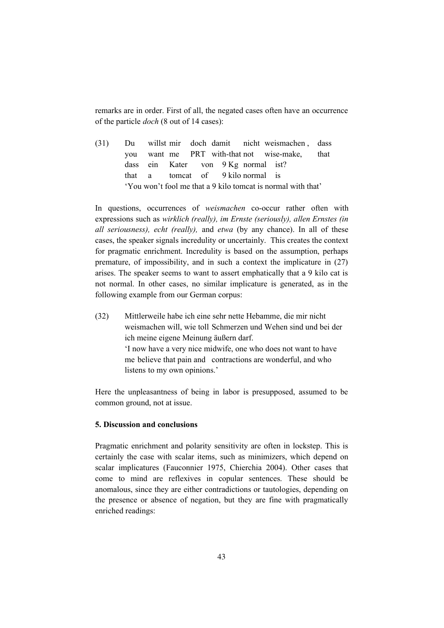remarks are in order. First of all, the negated cases often have an occurrence of the particle *doch* (8 out of 14 cases):

(31) Du willst mir doch damit nicht weismachen , dass you want me PRT with-that not wise-make, that dass ein Kater von 9 Kg normal ist? that a tomcat of 9 kilo normal is 'You won't fool me that a 9 kilo tomcat is normal with that'

In questions, occurrences of *weismachen* co-occur rather often with expressions such as *wirklich (really), im Ernste (seriously), allen Ernstes (in all seriousness), echt (really),* and *etwa* (by any chance). In all of these cases, the speaker signals incredulity or uncertainly. This creates the context for pragmatic enrichment. Incredulity is based on the assumption, perhaps premature, of impossibility, and in such a context the implicature in (27) arises. The speaker seems to want to assert emphatically that a 9 kilo cat is not normal. In other cases, no similar implicature is generated, as in the following example from our German corpus:

(32) Mittlerweile habe ich eine sehr nette Hebamme, die mir nicht weismachen will, wie toll Schmerzen und Wehen sind und bei der ich meine eigene Meinung äußern darf. 'I now have a very nice midwife, one who does not want to have me believe that pain and contractions are wonderful, and who listens to my own opinions.'

Here the unpleasantness of being in labor is presupposed, assumed to be common ground, not at issue.

#### **5. Discussion and conclusions**

Pragmatic enrichment and polarity sensitivity are often in lockstep. This is certainly the case with scalar items, such as minimizers, which depend on scalar implicatures (Fauconnier 1975, Chierchia 2004). Other cases that come to mind are reflexives in copular sentences. These should be anomalous, since they are either contradictions or tautologies, depending on the presence or absence of negation, but they are fine with pragmatically enriched readings: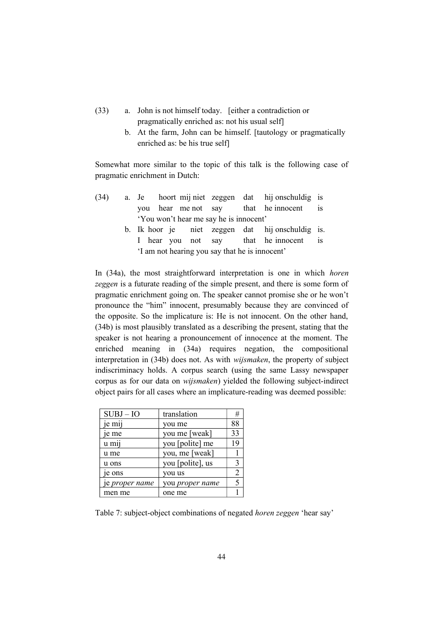- (33) a. John is not himself today. [either a contradiction or pragmatically enriched as: not his usual self]
	- b. At the farm, John can be himself. [tautology or pragmatically enriched as: be his true self]

Somewhat more similar to the topic of this talk is the following case of pragmatic enrichment in Dutch:

| (34) |  |  |                                        | a. Je hoort mij niet zeggen dat hij onschuldig is |  |
|------|--|--|----------------------------------------|---------------------------------------------------|--|
|      |  |  |                                        | you hear me not say that he innocent is           |  |
|      |  |  | 'You won't hear me say he is innocent' |                                                   |  |
|      |  |  |                                        | b. Ik hoor je niet zeggen dat hij onschuldig is.  |  |

I hear you not say that he innocent is 'I am not hearing you say that he is innocent'

In (34a), the most straightforward interpretation is one in which *horen zeggen* is a futurate reading of the simple present, and there is some form of pragmatic enrichment going on. The speaker cannot promise she or he won't pronounce the "him" innocent, presumably because they are convinced of the opposite. So the implicature is: He is not innocent. On the other hand, (34b) is most plausibly translated as a describing the present, stating that the speaker is not hearing a pronouncement of innocence at the moment. The enriched meaning in (34a) requires negation, the compositional interpretation in (34b) does not. As with *wijsmaken*, the property of subject indiscriminacy holds. A corpus search (using the same Lassy newspaper corpus as for our data on *wijsmaken*) yielded the following subject-indirect object pairs for all cases where an implicature-reading was deemed possible:

| $SUBJ-IO$             | translation            | #  |
|-----------------------|------------------------|----|
| je mij                | you me                 | 88 |
| je me                 | you me [weak]          | 33 |
| u m11                 | you [polite] me        | 19 |
| u me                  | you, me [weak]         |    |
| u ons                 | you [polite], us       | 3  |
| e ons                 | you us                 |    |
| je <i>proper name</i> | you <i>proper name</i> |    |
| men me                | one me                 |    |

Table 7: subject-object combinations of negated *horen zeggen* 'hear say'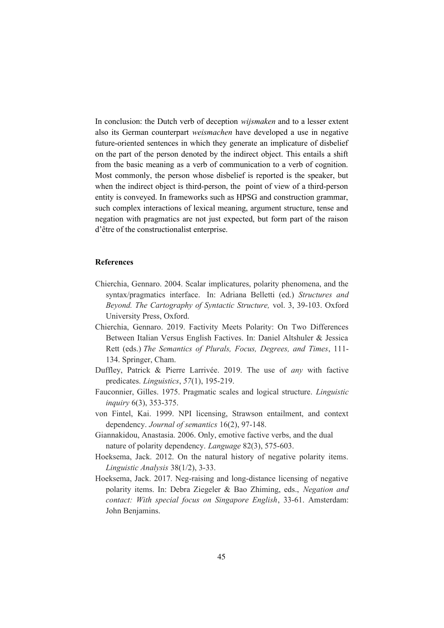In conclusion: the Dutch verb of deception *wijsmaken* and to a lesser extent also its German counterpart *weismachen* have developed a use in negative future-oriented sentences in which they generate an implicature of disbelief on the part of the person denoted by the indirect object. This entails a shift from the basic meaning as a verb of communication to a verb of cognition. Most commonly, the person whose disbelief is reported is the speaker, but when the indirect object is third-person, the point of view of a third-person entity is conveyed. In frameworks such as HPSG and construction grammar, such complex interactions of lexical meaning, argument structure, tense and negation with pragmatics are not just expected, but form part of the raison d'être of the constructionalist enterprise.

#### **References**

- Chierchia, Gennaro. 2004. Scalar implicatures, polarity phenomena, and the syntax/pragmatics interface. In: Adriana Belletti (ed.) *Structures and Beyond. The Cartography of Syntactic Structure,* vol. 3, 39-103. Oxford University Press, Oxford.
- Chierchia, Gennaro. 2019. Factivity Meets Polarity: On Two Differences Between Italian Versus English Factives. In: Daniel Altshuler & Jessica Rett (eds.) *The Semantics of Plurals, Focus, Degrees, and Times*, 111- 134. Springer, Cham.
- Duffley, Patrick & Pierre Larrivée. 2019. The use of *any* with factive predicates. *Linguistics*, *57*(1), 195-219.
- Fauconnier, Gilles. 1975. Pragmatic scales and logical structure. *Linguistic inquiry* 6(3), 353-375.
- von Fintel, Kai. 1999. NPI licensing, Strawson entailment, and context dependency. *Journal of semantics* 16(2), 97-148.
- Giannakidou, Anastasia. 2006. Only, emotive factive verbs, and the dual nature of polarity dependency. *Language* 82(3), 575-603.
- Hoeksema, Jack. 2012. On the natural history of negative polarity items. *Linguistic Analysis* 38(1/2), 3-33.
- Hoeksema, Jack. 2017. Neg-raising and long-distance licensing of negative polarity items. In: Debra Ziegeler & Bao Zhiming, eds., *Negation and contact: With special focus on Singapore English*, 33-61. Amsterdam: John Benjamins.